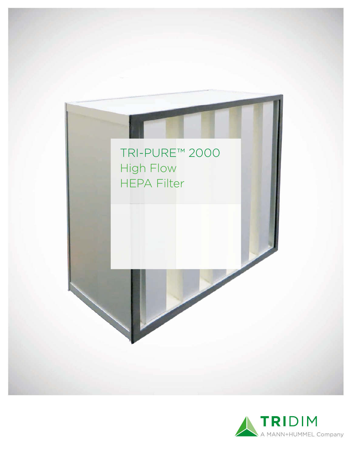

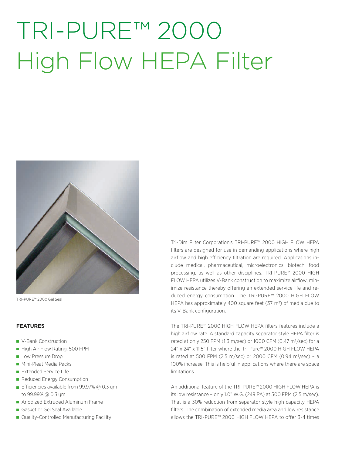# TRI-PURE™ 2000 High Flow HEPA Filter



TRI-PURE™ 2000 Gel Seal

### **FEATURES**

- V-Bank Construction
- High Air Flow Rating: 500 FPM
- Low Pressure Drop
- **Mini-Pleat Media Packs**
- Extended Service Life
- Reduced Energy Consumption
- Efficiencies available from 99.97% @ 0.3 ųm to 99.99% @ 0.3 ųm
- Anodized Extruded Aluminum Frame
- Gasket or Gel Seal Available
- Quality-Controlled Manufacturing Facility

Tri-Dim Filter Corporation's TRI-PURE™ 2000 HIGH FLOW HEPA filters are designed for use in demanding applications where high airflow and high efficiency filtration are required. Applications include medical, pharmaceutical, microelectronics, biotech, food processing, as well as other disciplines. TRI-PURE™ 2000 HIGH FLOW HEPA utilizes V-Bank construction to maximize airflow, minimize resistance thereby offering an extended service life and reduced energy consumption. The TRI-PURE™ 2000 HIGH FLOW HEPA has approximately 400 square feet (37 m<sup>2</sup>) of media due to its V-Bank configuration.

The TRI-PURE™ 2000 HIGH FLOW HEPA filters features include a high airflow rate. A standard capacity separator style HEPA filter is rated at only 250 FPM (1.3 m/sec) or 1000 CFM (0.47 m<sup>3</sup>/sec) for a 24" x 24" x 11.5" filter where the Tri-Pure™ 2000 HIGH FLOW HEPA is rated at 500 FPM (2.5 m/sec) or 2000 CFM (0.94 m3 /sec) – a 100% increase. This is helpful in applications where there are space limitations.

An additional feature of the TRI-PURE™ 2000 HIGH FLOW HEPA is its low resistance – only 1.0" W.G. (249 PA) at 500 FPM (2.5 m/sec). That is a 30% reduction from separator style high capacity HEPA filters. The combination of extended media area and low resistance allows the TRI-PURE™ 2000 HIGH FLOW HEPA to offer 3-4 times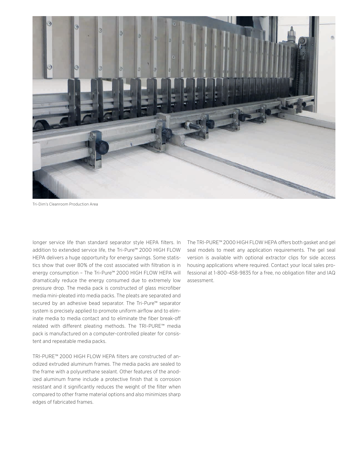

Tri-Dim's Cleanroom Production Area

longer service life than standard separator style HEPA filters. In addition to extended service life, the Tri-Pure™ 2000 HIGH FLOW HEPA delivers a huge opportunity for energy savings. Some statistics show that over 80% of the cost associated with filtration is in energy consumption – The Tri-Pure™ 2000 HIGH FLOW HEPA will dramatically reduce the energy consumed due to extremely low pressure drop. The media pack is constructed of glass microfiber media mini-pleated into media packs. The pleats are separated and secured by an adhesive bead separator. The Tri-Pure™ separator system is precisely applied to promote uniform airflow and to eliminate media to media contact and to eliminate the fiber break-off related with different pleating methods. The TRI-PURE™ media pack is manufactured on a computer-controlled pleater for consistent and repeatable media packs.

TRI-PURE™ 2000 HIGH FLOW HEPA filters are constructed of anodized extruded aluminum frames. The media packs are sealed to the frame with a polyurethane sealant. Other features of the anodized aluminum frame include a protective finish that is corrosion resistant and it significantly reduces the weight of the filter when compared to other frame material options and also minimizes sharp edges of fabricated frames.

The TRI-PURE™ 2000 HIGH FLOW HEPA offers both gasket and gel seal models to meet any application requirements. The gel seal version is available with optional extractor clips for side access housing applications where required. Contact your local sales professional at 1-800-458-9835 for a free, no obligation filter and IAQ assessment.